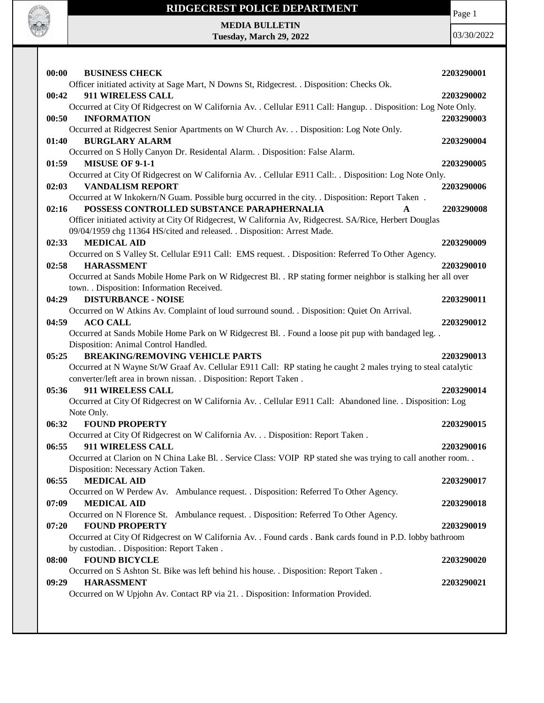



**MEDIA BULLETIN Tuesday, March 29, 2022**

| 00:00<br><b>BUSINESS CHECK</b>                                                                                 | 2203290001 |
|----------------------------------------------------------------------------------------------------------------|------------|
| Officer initiated activity at Sage Mart, N Downs St, Ridgecrest. . Disposition: Checks Ok.                     |            |
| 911 WIRELESS CALL<br>00:42                                                                                     | 2203290002 |
| Occurred at City Of Ridgecrest on W California Av. . Cellular E911 Call: Hangup. . Disposition: Log Note Only. |            |
| 00:50<br><b>INFORMATION</b>                                                                                    | 2203290003 |
| Occurred at Ridgecrest Senior Apartments on W Church Av. Disposition: Log Note Only.                           |            |
| <b>BURGLARY ALARM</b><br>01:40                                                                                 | 2203290004 |
| Occurred on S Holly Canyon Dr. Residental Alarm. . Disposition: False Alarm.                                   |            |
| <b>MISUSE OF 9-1-1</b><br>01:59                                                                                | 2203290005 |
| Occurred at City Of Ridgecrest on W California Av. . Cellular E911 Call: Disposition: Log Note Only.           |            |
| <b>VANDALISM REPORT</b><br>02:03                                                                               | 2203290006 |
| Occurred at W Inkokern/N Guam. Possible burg occurred in the city. . Disposition: Report Taken.                |            |
| POSSESS CONTROLLED SUBSTANCE PARAPHERNALIA<br>02:16                                                            | 2203290008 |
| Officer initiated activity at City Of Ridgecrest, W California Av, Ridgecrest. SA/Rice, Herbert Douglas        |            |
| 09/04/1959 chg 11364 HS/cited and released. . Disposition: Arrest Made.                                        |            |
| 02:33<br><b>MEDICAL AID</b>                                                                                    | 2203290009 |
| Occurred on S Valley St. Cellular E911 Call: EMS request. . Disposition: Referred To Other Agency.             |            |
| 02:58<br><b>HARASSMENT</b>                                                                                     | 2203290010 |
| Occurred at Sands Mobile Home Park on W Ridgecrest Bl. . RP stating former neighbor is stalking her all over   |            |
| town. . Disposition: Information Received.                                                                     |            |
| 04:29<br><b>DISTURBANCE - NOISE</b>                                                                            | 2203290011 |
| Occurred on W Atkins Av. Complaint of loud surround sound. . Disposition: Quiet On Arrival.                    |            |
| <b>ACO CALL</b><br>04:59                                                                                       | 2203290012 |
| Occurred at Sands Mobile Home Park on W Ridgecrest Bl. . Found a loose pit pup with bandaged leg. .            |            |
| Disposition: Animal Control Handled.                                                                           |            |
| 05:25<br><b>BREAKING/REMOVING VEHICLE PARTS</b>                                                                | 2203290013 |
| Occurred at N Wayne St/W Graaf Av. Cellular E911 Call: RP stating he caught 2 males trying to steal catalytic  |            |
| converter/left area in brown nissan. . Disposition: Report Taken.                                              |            |
| 911 WIRELESS CALL<br>05:36                                                                                     | 2203290014 |
| Occurred at City Of Ridgecrest on W California Av. . Cellular E911 Call: Abandoned line. . Disposition: Log    |            |
| Note Only.                                                                                                     |            |
| 06:32<br><b>FOUND PROPERTY</b>                                                                                 | 2203290015 |
| Occurred at City Of Ridgecrest on W California Av. Disposition: Report Taken .                                 |            |
| 06:55<br><b>911 WIRELESS CALL</b>                                                                              | 2203290016 |
| Occurred at Clarion on N China Lake Bl. . Service Class: VOIP RP stated she was trying to call another room    |            |
| Disposition: Necessary Action Taken.                                                                           |            |
| <b>MEDICAL AID</b><br>06:55                                                                                    | 2203290017 |
| Occurred on W Perdew Av. Ambulance request. . Disposition: Referred To Other Agency.                           |            |
| <b>MEDICAL AID</b><br>07:09                                                                                    | 2203290018 |
| Occurred on N Florence St. Ambulance request. . Disposition: Referred To Other Agency.                         |            |
| <b>FOUND PROPERTY</b><br>07:20                                                                                 | 2203290019 |
| Occurred at City Of Ridgecrest on W California Av. . Found cards . Bank cards found in P.D. lobby bathroom     |            |
| by custodian. . Disposition: Report Taken.                                                                     |            |
| <b>FOUND BICYCLE</b><br>08:00                                                                                  | 2203290020 |
| Occurred on S Ashton St. Bike was left behind his house. . Disposition: Report Taken.                          |            |
| <b>HARASSMENT</b><br>09:29                                                                                     | 2203290021 |
| Occurred on W Upjohn Av. Contact RP via 21. . Disposition: Information Provided.                               |            |
|                                                                                                                |            |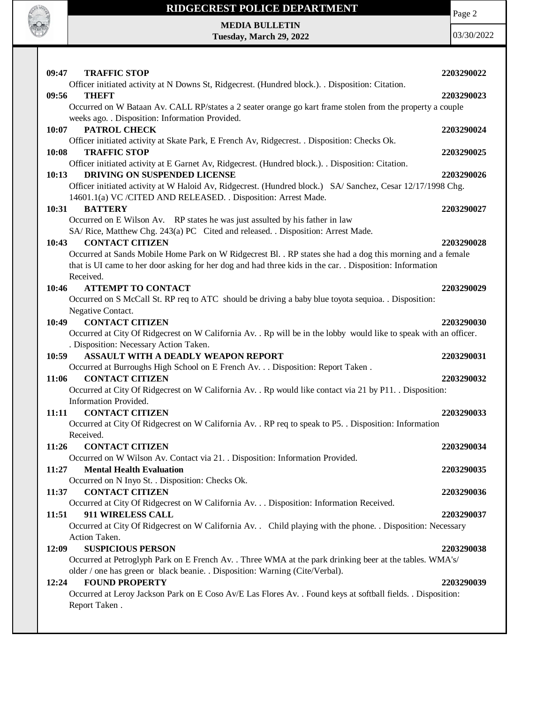

Page 2

**MEDIA BULLETIN Tuesday, March 29, 2022**

| <b>TRAFFIC STOP</b><br>09:47                                                                                                                                                                                           | 2203290022 |
|------------------------------------------------------------------------------------------------------------------------------------------------------------------------------------------------------------------------|------------|
| Officer initiated activity at N Downs St, Ridgecrest. (Hundred block.). . Disposition: Citation.                                                                                                                       |            |
| 09:56<br><b>THEFT</b>                                                                                                                                                                                                  | 2203290023 |
| Occurred on W Bataan Av. CALL RP/states a 2 seater orange go kart frame stolen from the property a couple                                                                                                              |            |
| weeks ago. . Disposition: Information Provided.                                                                                                                                                                        |            |
| 10:07<br><b>PATROL CHECK</b>                                                                                                                                                                                           | 2203290024 |
| Officer initiated activity at Skate Park, E French Av, Ridgecrest. . Disposition: Checks Ok.                                                                                                                           |            |
| <b>TRAFFIC STOP</b><br>10:08                                                                                                                                                                                           | 2203290025 |
| Officer initiated activity at E Garnet Av, Ridgecrest. (Hundred block.). . Disposition: Citation.                                                                                                                      |            |
| DRIVING ON SUSPENDED LICENSE<br>10:13                                                                                                                                                                                  | 2203290026 |
| Officer initiated activity at W Haloid Av, Ridgecrest. (Hundred block.) SA/ Sanchez, Cesar 12/17/1998 Chg.                                                                                                             |            |
| 14601.1(a) VC / CITED AND RELEASED. . Disposition: Arrest Made.                                                                                                                                                        |            |
| <b>BATTERY</b><br>10:31                                                                                                                                                                                                | 2203290027 |
| Occurred on E Wilson Av. RP states he was just assulted by his father in law                                                                                                                                           |            |
| SA/ Rice, Matthew Chg. 243(a) PC Cited and released. . Disposition: Arrest Made.                                                                                                                                       |            |
| <b>CONTACT CITIZEN</b><br>10:43                                                                                                                                                                                        | 2203290028 |
| Occurred at Sands Mobile Home Park on W Ridgecrest Bl. . RP states she had a dog this morning and a female<br>that is UI came to her door asking for her dog and had three kids in the car. . Disposition: Information |            |
| Received.                                                                                                                                                                                                              |            |
| 10:46<br><b>ATTEMPT TO CONTACT</b>                                                                                                                                                                                     | 2203290029 |
| Occurred on S McCall St. RP req to ATC should be driving a baby blue toyota sequioa. . Disposition:                                                                                                                    |            |
| Negative Contact.                                                                                                                                                                                                      |            |
| 10:49<br><b>CONTACT CITIZEN</b>                                                                                                                                                                                        | 2203290030 |
| Occurred at City Of Ridgecrest on W California Av. . Rp will be in the lobby would like to speak with an officer.                                                                                                      |            |
| . Disposition: Necessary Action Taken.                                                                                                                                                                                 |            |
| <b>ASSAULT WITH A DEADLY WEAPON REPORT</b><br>10:59                                                                                                                                                                    | 2203290031 |
| Occurred at Burroughs High School on E French Av. Disposition: Report Taken .                                                                                                                                          |            |
| <b>CONTACT CITIZEN</b><br>11:06                                                                                                                                                                                        | 2203290032 |
|                                                                                                                                                                                                                        |            |
|                                                                                                                                                                                                                        |            |
| Occurred at City Of Ridgecrest on W California Av. . Rp would like contact via 21 by P11. . Disposition:<br>Information Provided.                                                                                      |            |
| <b>CONTACT CITIZEN</b><br>11:11                                                                                                                                                                                        | 2203290033 |
| Occurred at City Of Ridgecrest on W California Av. . RP req to speak to P5. . Disposition: Information                                                                                                                 |            |
| Received.                                                                                                                                                                                                              |            |
| 11:26<br><b>CONTACT CITIZEN</b>                                                                                                                                                                                        | 2203290034 |
| Occurred on W Wilson Av. Contact via 21. . Disposition: Information Provided.                                                                                                                                          |            |
| <b>Mental Health Evaluation</b><br>11:27                                                                                                                                                                               | 2203290035 |
| Occurred on N Inyo St. . Disposition: Checks Ok.                                                                                                                                                                       |            |
| <b>CONTACT CITIZEN</b><br>11:37                                                                                                                                                                                        | 2203290036 |
| Occurred at City Of Ridgecrest on W California Av. Disposition: Information Received.                                                                                                                                  |            |
| 911 WIRELESS CALL<br>11:51                                                                                                                                                                                             | 2203290037 |
| Occurred at City Of Ridgecrest on W California Av. Child playing with the phone. Disposition: Necessary                                                                                                                |            |
| Action Taken.                                                                                                                                                                                                          |            |
| <b>SUSPICIOUS PERSON</b><br>12:09                                                                                                                                                                                      | 2203290038 |
| Occurred at Petroglyph Park on E French Av. . Three WMA at the park drinking beer at the tables. WMA's/                                                                                                                |            |
| older / one has green or black beanie. . Disposition: Warning (Cite/Verbal).                                                                                                                                           |            |
| <b>FOUND PROPERTY</b><br>12:24                                                                                                                                                                                         | 2203290039 |
| Occurred at Leroy Jackson Park on E Coso Av/E Las Flores Av. . Found keys at softball fields. . Disposition:<br>Report Taken.                                                                                          |            |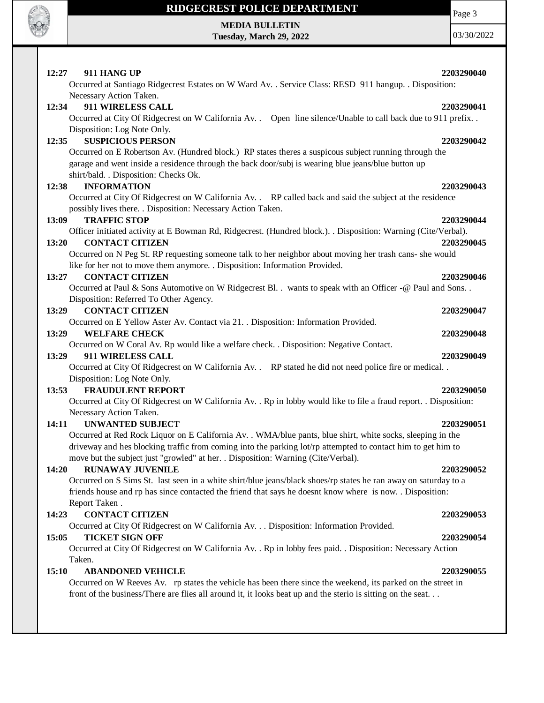

**MEDIA BULLETIN Tuesday, March 29, 2022** Page 3

| 911 HANG UP<br>12:27                                                                                                                     | 2203290040 |
|------------------------------------------------------------------------------------------------------------------------------------------|------------|
| Occurred at Santiago Ridgecrest Estates on W Ward Av. . Service Class: RESD 911 hangup. . Disposition:                                   |            |
| Necessary Action Taken.                                                                                                                  |            |
| 911 WIRELESS CALL<br>12:34                                                                                                               | 2203290041 |
| Occurred at City Of Ridgecrest on W California Av. Open line silence/Unable to call back due to 911 prefix                               |            |
| Disposition: Log Note Only.                                                                                                              |            |
| <b>SUSPICIOUS PERSON</b><br>12:35                                                                                                        | 2203290042 |
| Occurred on E Robertson Av. (Hundred block.) RP states theres a suspicous subject running through the                                    |            |
| garage and went inside a residence through the back door/subj is wearing blue jeans/blue button up                                       |            |
| shirt/bald. . Disposition: Checks Ok.                                                                                                    |            |
| <b>INFORMATION</b><br>12:38                                                                                                              | 2203290043 |
| Occurred at City Of Ridgecrest on W California Av. . RP called back and said the subject at the residence                                |            |
| possibly lives there. . Disposition: Necessary Action Taken.                                                                             |            |
| <b>TRAFFIC STOP</b><br>13:09                                                                                                             | 2203290044 |
| Officer initiated activity at E Bowman Rd, Ridgecrest. (Hundred block.). . Disposition: Warning (Cite/Verbal).<br><b>CONTACT CITIZEN</b> |            |
| 13:20<br>Occurred on N Peg St. RP requesting someone talk to her neighbor about moving her trash cans- she would                         | 2203290045 |
| like for her not to move them anymore. . Disposition: Information Provided.                                                              |            |
| <b>CONTACT CITIZEN</b><br>13:27                                                                                                          | 2203290046 |
| Occurred at Paul & Sons Automotive on W Ridgecrest Bl. . wants to speak with an Officer -@ Paul and Sons. .                              |            |
| Disposition: Referred To Other Agency.                                                                                                   |            |
| <b>CONTACT CITIZEN</b><br>13:29                                                                                                          | 2203290047 |
| Occurred on E Yellow Aster Av. Contact via 21. . Disposition: Information Provided.                                                      |            |
| 13:29<br><b>WELFARE CHECK</b>                                                                                                            | 2203290048 |
| Occurred on W Coral Av. Rp would like a welfare check. . Disposition: Negative Contact.                                                  |            |
| <b>911 WIRELESS CALL</b><br>13:29                                                                                                        | 2203290049 |
| Occurred at City Of Ridgecrest on W California Av. . RP stated he did not need police fire or medical                                    |            |
| Disposition: Log Note Only.                                                                                                              |            |
| <b>FRAUDULENT REPORT</b><br>13:53                                                                                                        | 2203290050 |
| Occurred at City Of Ridgecrest on W California Av. . Rp in lobby would like to file a fraud report. . Disposition:                       |            |
| Necessary Action Taken.                                                                                                                  |            |
| <b>UNWANTED SUBJECT</b><br>14:11                                                                                                         | 2203290051 |
| Occurred at Red Rock Liquor on E California Av. . WMA/blue pants, blue shirt, white socks, sleeping in the                               |            |
| driveway and hes blocking traffic from coming into the parking lot/rp attempted to contact him to get him to                             |            |
| move but the subject just "growled" at her. . Disposition: Warning (Cite/Verbal).                                                        |            |
| <b>RUNAWAY JUVENILE</b><br>14:20                                                                                                         | 2203290052 |
| Occurred on S Sims St. last seen in a white shirt/blue jeans/black shoes/rp states he ran away on saturday to a                          |            |
| friends house and rp has since contacted the friend that says he doesnt know where is now. Disposition:                                  |            |
| Report Taken.                                                                                                                            |            |
| <b>CONTACT CITIZEN</b><br>14:23<br>Occurred at City Of Ridgecrest on W California Av. Disposition: Information Provided.                 | 2203290053 |
| 15:05<br><b>TICKET SIGN OFF</b>                                                                                                          | 2203290054 |
| Occurred at City Of Ridgecrest on W California Av. . Rp in lobby fees paid. . Disposition: Necessary Action                              |            |
| Taken.                                                                                                                                   |            |
| 15:10<br><b>ABANDONED VEHICLE</b>                                                                                                        | 2203290055 |
| Occurred on W Reeves Av. rp states the vehicle has been there since the weekend, its parked on the street in                             |            |
| front of the business/There are flies all around it, it looks beat up and the sterio is sitting on the seat                              |            |
|                                                                                                                                          |            |
|                                                                                                                                          |            |
|                                                                                                                                          |            |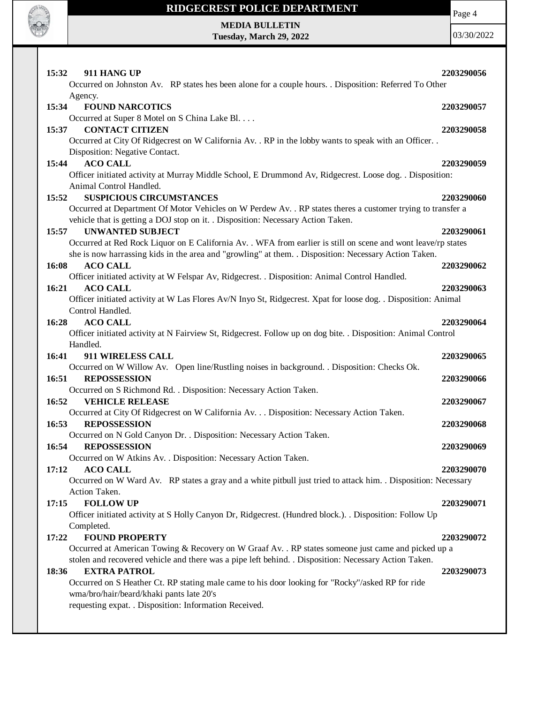

Page 4

**MEDIA BULLETIN Tuesday, March 29, 2022**

| 15:32<br>911 HANG UP                                                                                                    | 2203290056 |
|-------------------------------------------------------------------------------------------------------------------------|------------|
| Occurred on Johnston Av. RP states hes been alone for a couple hours. . Disposition: Referred To Other                  |            |
| Agency.                                                                                                                 |            |
| <b>FOUND NARCOTICS</b><br>15:34                                                                                         | 2203290057 |
| Occurred at Super 8 Motel on S China Lake Bl.                                                                           |            |
| <b>CONTACT CITIZEN</b><br>15:37                                                                                         | 2203290058 |
| Occurred at City Of Ridgecrest on W California Av. . RP in the lobby wants to speak with an Officer. .                  |            |
| Disposition: Negative Contact.                                                                                          |            |
| <b>ACO CALL</b><br>15:44                                                                                                | 2203290059 |
| Officer initiated activity at Murray Middle School, E Drummond Av, Ridgecrest. Loose dog. . Disposition:                |            |
| Animal Control Handled.                                                                                                 |            |
| <b>SUSPICIOUS CIRCUMSTANCES</b><br>15:52                                                                                | 2203290060 |
| Occurred at Department Of Motor Vehicles on W Perdew Av. . RP states theres a customer trying to transfer a             |            |
| vehicle that is getting a DOJ stop on it. . Disposition: Necessary Action Taken.                                        |            |
| <b>UNWANTED SUBJECT</b><br>15:57                                                                                        | 2203290061 |
| Occurred at Red Rock Liquor on E California Av. . WFA from earlier is still on scene and wont leave/rp states           |            |
| she is now harrassing kids in the area and "growling" at them. . Disposition: Necessary Action Taken.                   |            |
| 16:08<br><b>ACO CALL</b>                                                                                                | 2203290062 |
| Officer initiated activity at W Felspar Av, Ridgecrest. . Disposition: Animal Control Handled.                          |            |
| 16:21<br><b>ACO CALL</b>                                                                                                | 2203290063 |
| Officer initiated activity at W Las Flores Av/N Inyo St, Ridgecrest. Xpat for loose dog. . Disposition: Animal          |            |
| Control Handled.                                                                                                        |            |
| 16:28<br><b>ACO CALL</b>                                                                                                | 2203290064 |
| Officer initiated activity at N Fairview St, Ridgecrest. Follow up on dog bite. . Disposition: Animal Control           |            |
| Handled.                                                                                                                |            |
| 911 WIRELESS CALL<br>16:41                                                                                              | 2203290065 |
| Occurred on W Willow Av. Open line/Rustling noises in background. . Disposition: Checks Ok.                             |            |
| <b>REPOSSESSION</b><br>16:51                                                                                            | 2203290066 |
| Occurred on S Richmond Rd. . Disposition: Necessary Action Taken.                                                       |            |
| 16:52<br><b>VEHICLE RELEASE</b>                                                                                         | 2203290067 |
| Occurred at City Of Ridgecrest on W California Av. Disposition: Necessary Action Taken.<br>16:53<br><b>REPOSSESSION</b> |            |
|                                                                                                                         |            |
|                                                                                                                         | 2203290068 |
| Occurred on N Gold Canyon Dr. . Disposition: Necessary Action Taken.                                                    |            |
| 16:54<br><b>REPOSSESSION</b>                                                                                            | 2203290069 |
| Occurred on W Atkins Av. . Disposition: Necessary Action Taken.                                                         |            |
| <b>ACO CALL</b><br>17:12                                                                                                | 2203290070 |
| Occurred on W Ward Av. RP states a gray and a white pitbull just tried to attack him. Disposition: Necessary            |            |
| Action Taken.                                                                                                           |            |
| <b>FOLLOW UP</b><br>17:15                                                                                               | 2203290071 |
| Officer initiated activity at S Holly Canyon Dr, Ridgecrest. (Hundred block.). . Disposition: Follow Up                 |            |
| Completed.                                                                                                              |            |
| 17:22<br><b>FOUND PROPERTY</b>                                                                                          | 2203290072 |
| Occurred at American Towing & Recovery on W Graaf Av. . RP states someone just came and picked up a                     |            |
| stolen and recovered vehicle and there was a pipe left behind. . Disposition: Necessary Action Taken.                   |            |
| 18:36<br><b>EXTRA PATROL</b>                                                                                            | 2203290073 |
| Occurred on S Heather Ct. RP stating male came to his door looking for "Rocky"/asked RP for ride                        |            |
| wma/bro/hair/beard/khaki pants late 20's<br>requesting expat. . Disposition: Information Received.                      |            |
|                                                                                                                         |            |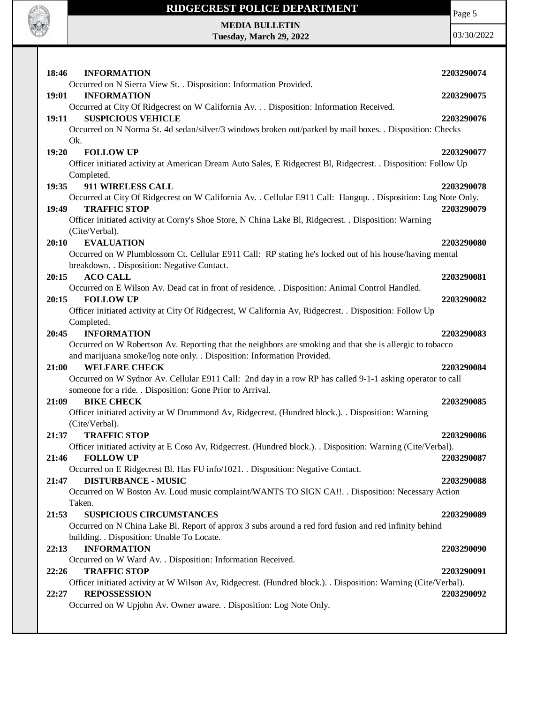

# **RIDGECREST POLICE DEPARTMENT MEDIA BULLETIN**

**Tuesday, March 29, 2022**

| 18:46<br><b>INFORMATION</b>                                                                                                                    | 2203290074 |
|------------------------------------------------------------------------------------------------------------------------------------------------|------------|
| Occurred on N Sierra View St. . Disposition: Information Provided.                                                                             |            |
| <b>INFORMATION</b><br>19:01                                                                                                                    | 2203290075 |
| Occurred at City Of Ridgecrest on W California Av. Disposition: Information Received.                                                          |            |
| <b>SUSPICIOUS VEHICLE</b><br>19:11                                                                                                             | 2203290076 |
| Occurred on N Norma St. 4d sedan/silver/3 windows broken out/parked by mail boxes. . Disposition: Checks                                       |            |
| Ok.                                                                                                                                            |            |
| 19:20<br><b>FOLLOW UP</b>                                                                                                                      | 2203290077 |
| Officer initiated activity at American Dream Auto Sales, E Ridgecrest Bl, Ridgecrest. . Disposition: Follow Up                                 |            |
| Completed.                                                                                                                                     |            |
| 911 WIRELESS CALL<br>19:35                                                                                                                     | 2203290078 |
| Occurred at City Of Ridgecrest on W California Av. . Cellular E911 Call: Hangup. . Disposition: Log Note Only.<br>19:49<br><b>TRAFFIC STOP</b> | 2203290079 |
| Officer initiated activity at Corny's Shoe Store, N China Lake Bl, Ridgecrest. . Disposition: Warning                                          |            |
| (Cite/Verbal).                                                                                                                                 |            |
| 20:10<br><b>EVALUATION</b>                                                                                                                     | 2203290080 |
| Occurred on W Plumblossom Ct. Cellular E911 Call: RP stating he's locked out of his house/having mental                                        |            |
| breakdown. . Disposition: Negative Contact.                                                                                                    |            |
| <b>ACO CALL</b><br>20:15                                                                                                                       | 2203290081 |
| Occurred on E Wilson Av. Dead cat in front of residence. . Disposition: Animal Control Handled.                                                |            |
| <b>FOLLOW UP</b><br>20:15                                                                                                                      | 2203290082 |
| Officer initiated activity at City Of Ridgecrest, W California Av, Ridgecrest. . Disposition: Follow Up                                        |            |
| Completed.                                                                                                                                     |            |
| 20:45<br><b>INFORMATION</b>                                                                                                                    | 2203290083 |
| Occurred on W Robertson Av. Reporting that the neighbors are smoking and that she is allergic to tobacco                                       |            |
| and marijuana smoke/log note only. . Disposition: Information Provided.                                                                        |            |
| <b>WELFARE CHECK</b><br>21:00                                                                                                                  | 2203290084 |
| Occurred on W Sydnor Av. Cellular E911 Call: 2nd day in a row RP has called 9-1-1 asking operator to call                                      |            |
| someone for a ride. . Disposition: Gone Prior to Arrival.                                                                                      |            |
| 21:09<br><b>BIKE CHECK</b>                                                                                                                     | 2203290085 |
| Officer initiated activity at W Drummond Av, Ridgecrest. (Hundred block.). . Disposition: Warning                                              |            |
| (Cite/Verbal).                                                                                                                                 |            |
| <b>TRAFFIC STOP</b><br>21:37                                                                                                                   | 2203290086 |
| Officer initiated activity at E Coso Av, Ridgecrest. (Hundred block.). Disposition: Warning (Cite/Verbal).                                     |            |
| <b>FOLLOW UP</b><br>21:46                                                                                                                      | 2203290087 |
| Occurred on E Ridgecrest Bl. Has FU info/1021. . Disposition: Negative Contact.                                                                |            |
| <b>DISTURBANCE - MUSIC</b><br>21:47                                                                                                            | 2203290088 |
| Occurred on W Boston Av. Loud music complaint/WANTS TO SIGN CA!!. . Disposition: Necessary Action                                              |            |
| Taken.                                                                                                                                         |            |
| 21:53<br><b>SUSPICIOUS CIRCUMSTANCES</b>                                                                                                       | 2203290089 |
| Occurred on N China Lake Bl. Report of approx 3 subs around a red ford fusion and red infinity behind                                          |            |
| building. . Disposition: Unable To Locate.                                                                                                     |            |
| <b>INFORMATION</b><br>22:13                                                                                                                    | 2203290090 |
| Occurred on W Ward Av. . Disposition: Information Received.                                                                                    |            |
| 22:26<br><b>TRAFFIC STOP</b>                                                                                                                   | 2203290091 |
| Officer initiated activity at W Wilson Av, Ridgecrest. (Hundred block.). Disposition: Warning (Cite/Verbal).                                   |            |
| <b>REPOSSESSION</b><br>22:27                                                                                                                   | 2203290092 |
| Occurred on W Upjohn Av. Owner aware. . Disposition: Log Note Only.                                                                            |            |
|                                                                                                                                                |            |